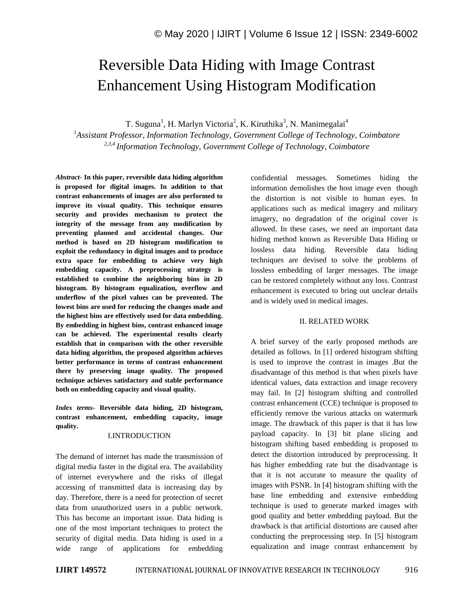# Reversible Data Hiding with Image Contrast Enhancement Using Histogram Modification

T. Suguna<sup>1</sup>, H. Marlyn Victoria<sup>2</sup>, K. Kiruthika<sup>3</sup>, N. Manimegalai<sup>4</sup>

*<sup>1</sup>Assistant Professor, Information Technology, Government College of Technology, Coimbatore 2,3,4 Information Technology, Government College of Technology, Coimbatore*

*Abstract*- **In this paper, reversible data hiding algorithm is proposed for digital images. In addition to that contrast enhancements of images are also performed to improve its visual quality. This technique ensures security and provides mechanism to protect the integrity of the message from any modification by preventing planned and accidental changes. Our method is based on 2D histogram modification to exploit the redundancy in digital images and to produce extra space for embedding to achieve very high embedding capacity. A preprocessing strategy is established to combine the neighboring bins in 2D histogram. By histogram equalization, overflow and underflow of the pixel values can be prevented. The lowest bins are used for reducing the changes made and the highest bins are effectively used for data embedding. By embedding in highest bins, contrast enhanced image can be achieved. The experimental results clearly establish that in comparison with the other reversible data hiding algorithm, the proposed algorithm achieves better performance in terms of contrast enhancement there by preserving image quality. The proposed technique achieves satisfactory and stable performance both on embedding capacity and visual quality.**

*Index terms***- Reversible data hiding, 2D histogram, contrast enhancement, embedding capacity, image quality.**

# I.INTRODUCTION

The demand of internet has made the transmission of digital media faster in the digital era. The availability of internet everywhere and the risks of illegal accessing of transmitted data is increasing day by day. Therefore, there is a need for protection of secret data from unauthorized users in a public network. This has become an important issue. Data hiding is one of the most important techniques to protect the security of digital media. Data hiding is used in a wide range of applications for embedding confidential messages. Sometimes hiding the information demolishes the host image even though the distortion is not visible to human eyes. In applications such as medical imagery and military imagery, no degradation of the original cover is allowed. In these cases, we need an important data hiding method known as Reversible Data Hiding or lossless data hiding. Reversible data hiding techniques are devised to solve the problems of lossless embedding of larger messages. The image can be restored completely without any loss. Contrast enhancement is executed to bring out unclear details and is widely used in medical images.

# II. RELATED WORK

A brief survey of the early proposed methods are detailed as follows. In [1] ordered histogram shifting is used to improve the contrast in images .But the disadvantage of this method is that when pixels have identical values, data extraction and image recovery may fail. In [2] histogram shifting and controlled contrast enhancement (CCE) technique is proposed to efficiently remove the various attacks on watermark image. The drawback of this paper is that it has low payload capacity. In [3] bit plane slicing and histogram shifting based embedding is proposed to detect the distortion introduced by preprocessing. It has higher embedding rate but the disadvantage is that it is not accurate to measure the quality of images with PSNR. In [4] histogram shifting with the base line embedding and extensive embedding technique is used to generate marked images with good quality and better embedding payload. But the drawback is that artificial distortions are caused after conducting the preprocessing step. In [5] histogram equalization and image contrast enhancement by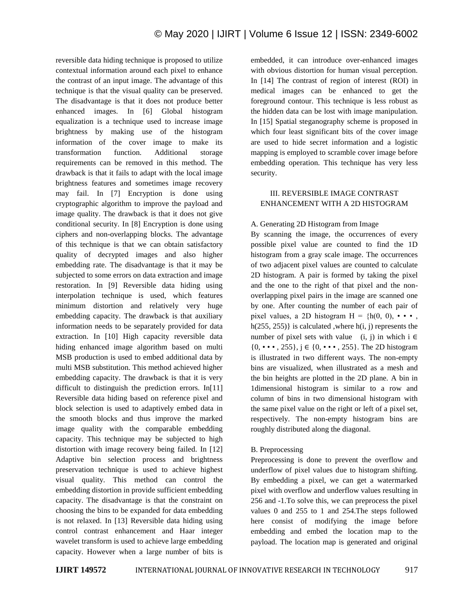reversible data hiding technique is proposed to utilize contextual information around each pixel to enhance the contrast of an input image. The advantage of this technique is that the visual quality can be preserved. The disadvantage is that it does not produce better enhanced images. In [6] Global histogram equalization is a technique used to increase image brightness by making use of the histogram information of the cover image to make its transformation function. Additional storage requirements can be removed in this method. The drawback is that it fails to adapt with the local image brightness features and sometimes image recovery may fail. In [7] Encryption is done using cryptographic algorithm to improve the payload and image quality. The drawback is that it does not give conditional security. In [8] Encryption is done using ciphers and non-overlapping blocks. The advantage of this technique is that we can obtain satisfactory quality of decrypted images and also higher embedding rate. The disadvantage is that it may be subjected to some errors on data extraction and image restoration. In [9] Reversible data hiding using interpolation technique is used, which features minimum distortion and relatively very huge embedding capacity. The drawback is that auxiliary information needs to be separately provided for data extraction. In [10] High capacity reversible data hiding enhanced image algorithm based on multi MSB production is used to embed additional data by multi MSB substitution. This method achieved higher embedding capacity. The drawback is that it is very difficult to distinguish the prediction errors. In[11] Reversible data hiding based on reference pixel and block selection is used to adaptively embed data in the smooth blocks and thus improve the marked image quality with the comparable embedding capacity. This technique may be subjected to high distortion with image recovery being failed. In [12] Adaptive bin selection process and brightness preservation technique is used to achieve highest visual quality. This method can control the embedding distortion in provide sufficient embedding capacity. The disadvantage is that the constraint on choosing the bins to be expanded for data embedding is not relaxed. In [13] Reversible data hiding using control contrast enhancement and Haar integer wavelet transform is used to achieve large embedding capacity. However when a large number of bits is

embedded, it can introduce over-enhanced images with obvious distortion for human visual perception. In [14] The contrast of region of interest (ROI) in medical images can be enhanced to get the foreground contour. This technique is less robust as the hidden data can be lost with image manipulation. In [15] Spatial steganography scheme is proposed in which four least significant bits of the cover image are used to hide secret information and a logistic mapping is employed to scramble cover image before embedding operation. This technique has very less security.

# III. REVERSIBLE IMAGE CONTRAST ENHANCEMENT WITH A 2D HISTOGRAM

# A. Generating 2D Histogram from Image

By scanning the image, the occurrences of every possible pixel value are counted to find the 1D histogram from a gray scale image. The occurrences of two adjacent pixel values are counted to calculate 2D histogram. A pair is formed by taking the pixel and the one to the right of that pixel and the nonoverlapping pixel pairs in the image are scanned one by one. After counting the number of each pair of pixel values, a 2D histogram  $H = {h(0, 0), \cdot \cdot \cdot,$ h(255, 255)} is calculated ,where h(i, j) represents the number of pixel sets with value (i, j) in which i  $\in$  $\{0, \cdots, 255\}, j \in \{0, \cdots, 255\}.$  The 2D histogram is illustrated in two different ways. The non-empty bins are visualized, when illustrated as a mesh and the bin heights are plotted in the 2D plane. A bin in 1dimensional histogram is similar to a row and column of bins in two dimensional histogram with the same pixel value on the right or left of a pixel set, respectively. The non-empty histogram bins are roughly distributed along the diagonal.

# B. Preprocessing

Preprocessing is done to prevent the overflow and underflow of pixel values due to histogram shifting. By embedding a pixel, we can get a watermarked pixel with overflow and underflow values resulting in 256 and -1.To solve this, we can preprocess the pixel values 0 and 255 to 1 and 254.The steps followed here consist of modifying the image before embedding and embed the location map to the payload. The location map is generated and original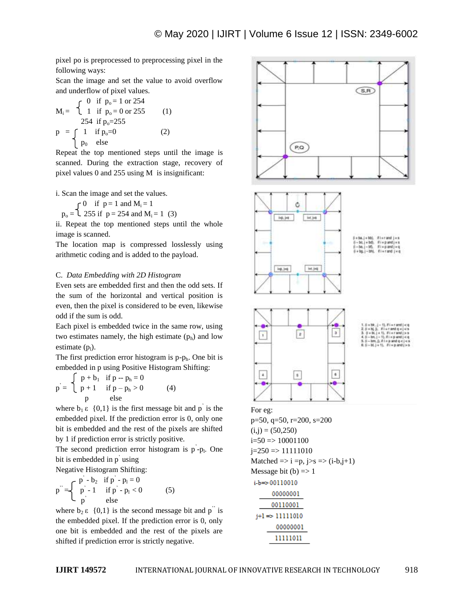pixel po is preprocessed to preprocessing pixel in the following ways:

Scan the image and set the value to avoid overflow and underflow of pixel values.

$$
M_{i} = \begin{cases} 0 & \text{if } p_{o} = 1 \text{ or } 254 \\ 1 & \text{if } p_{o} = 0 \text{ or } 255 \\ 254 & \text{if } p_{o} = 255 \end{cases}
$$
 (1)  

$$
p = \begin{cases} 1 & \text{if } p_{o} = 0 \\ p_{0} & \text{else} \end{cases}
$$
 (2)

Repeat the top mentioned steps until the image is scanned. During the extraction stage, recovery of pixel values 0 and 255 using M is insignificant:

i. Scan the image and set the values.

 $\bigcap$  0 if  $p = 1$  and  $M_i = 1$ 

 $p_0 = 1$  255 if  $p = 254$  and  $M_i = 1$  (3)

ii. Repeat the top mentioned steps until the whole image is scanned.

The location map is compressed losslessly using arithmetic coding and is added to the payload.

### C. *Data Embedding with 2D Histogram*

Even sets are embedded first and then the odd sets. If the sum of the horizontal and vertical position is even, then the pixel is considered to be even, likewise odd if the sum is odd.

Each pixel is embedded twice in the same row, using two estimates namely, the high estimate  $(p_h)$  and low estimate  $(p_1)$ .

The first prediction error histogram is  $p-p<sub>h</sub>$ . One bit is embedded in p using Positive Histogram Shifting:

$$
p = \begin{cases} p + b_1 & \text{if } p - p_h = 0 \\ p + 1 & \text{if } p - p_h > 0 \\ p & \text{else} \end{cases}
$$
 (4)

where  $b_1 \varepsilon \{0,1\}$  is the first message bit and p<sup>'</sup> is the embedded pixel. If the prediction error is 0, only one bit is embedded and the rest of the pixels are shifted by 1 if prediction error is strictly positive.

The second prediction error histogram is  $p^2 - p_1$ . One bit is embedded in p<sup>'</sup> using

Negative Histogram Shifting:

$$
p'' = \begin{cases} p' - b_2 & \text{if } p' - p_1 = 0 \\ p' - 1 & \text{if } p' - p_1 < 0 \\ p' & \text{else} \end{cases}
$$
 (5)

where  $b_2 \varepsilon \{0,1\}$  is the second message bit and p<sup>"</sup> is the embedded pixel. If the prediction error is 0, only one bit is embedded and the rest of the pixels are shifted if prediction error is strictly negative.

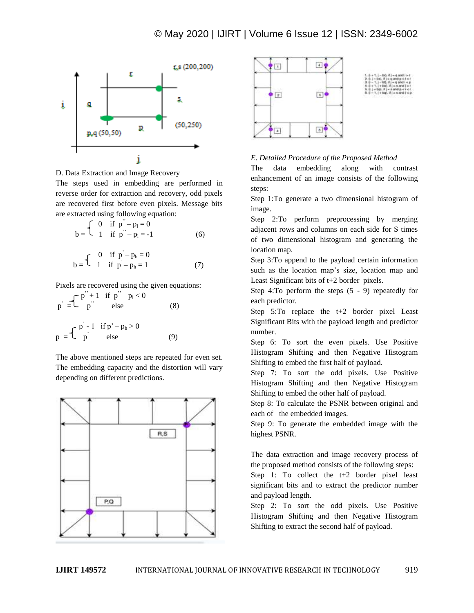

D. Data Extraction and Image Recovery

The steps used in embedding are performed in reverse order for extraction and recovery, odd pixels are recovered first before even pixels. Message bits are extracted using following equation:

$$
b = \begin{cases} 0 & \text{if } p'' - p_1 = 0 \\ 1 & \text{if } p'' - p_1 = -1 \end{cases}
$$
 (6)

$$
b = \begin{cases} 0 & \text{if } p - p_h = 0 \\ 1 & \text{if } p - p_h = 1 \end{cases}
$$
 (7)

Pixels are recovered using the given equations:

$$
p^{2} = \begin{cases} p^{2} + 1 & \text{if } p^{2} - p_{1} < 0 \\ p^{2} & \text{else} \end{cases}
$$
 (8)  

$$
p = \begin{cases} p^{2} - 1 & \text{if } p^{2} - p_{h} > 0 \\ p^{2} & \text{else} \end{cases}
$$
 (9)

The above mentioned steps are repeated for even set. The embedding capacity and the distortion will vary depending on different predictions.





# *E*. *Detailed Procedure of the Proposed Method*

The data embedding along with contrast enhancement of an image consists of the following steps:

Step 1:To generate a two dimensional histogram of image.

Step 2:To perform preprocessing by merging adjacent rows and columns on each side for S times of two dimensional histogram and generating the location map.

Step 3:To append to the payload certain information such as the location map's size, location map and Least Significant bits of t+2 border pixels.

Step 4:To perform the steps (5 - 9) repeatedly for each predictor.

Step 5:To replace the t+2 border pixel Least Significant Bits with the payload length and predictor number.

Step 6: To sort the even pixels. Use Positive Histogram Shifting and then Negative Histogram Shifting to embed the first half of payload.

Step 7: To sort the odd pixels. Use Positive Histogram Shifting and then Negative Histogram Shifting to embed the other half of payload.

Step 8: To calculate the PSNR between original and each of the embedded images.

Step 9: To generate the embedded image with the highest PSNR.

The data extraction and image recovery process of the proposed method consists of the following steps:

Step 1: To collect the t+2 border pixel least significant bits and to extract the predictor number and payload length.

Step 2: To sort the odd pixels. Use Positive Histogram Shifting and then Negative Histogram Shifting to extract the second half of payload.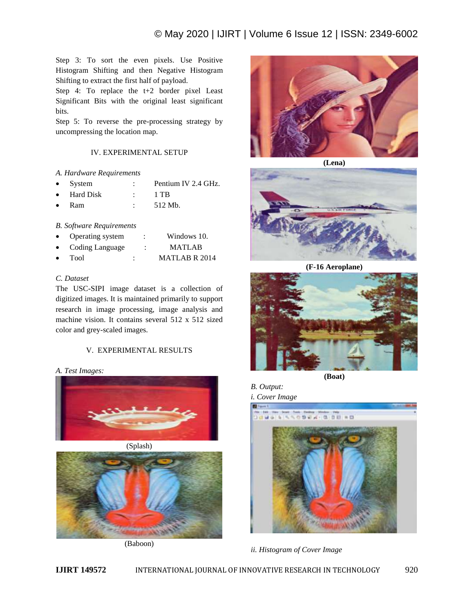Step 3: To sort the even pixels. Use Positive Histogram Shifting and then Negative Histogram Shifting to extract the first half of payload.

Step 4: To replace the t+2 border pixel Least Significant Bits with the original least significant bits.

Step 5: To reverse the pre-processing strategy by uncompressing the location map.

# IV. EXPERIMENTAL SETUP

# *A. Hardware Requirements*

- System : Pentium IV 2.4 GHz.
- Hard Disk : 1 TB
- Ram : 512 Mb.

# *B. Software Requirements*

- Operating system : Windows 10.
- Coding Language : MATLAB
- Tool : MATLAB R 2014

# *C. Dataset*

The USC-SIPI image dataset is a collection of digitized images. It is maintained primarily to support research in image processing, image analysis and machine vision. It contains several 512 x 512 sized color and grey-scaled images.

# V. EXPERIMENTAL RESULTS

# *A. Test Images:*







(Baboon)



**(Lena)**



**(F-16 Aeroplane)**



**(Boat)**

# *B. Output:*

*i. Cover Image*



*ii. Histogram of Cover Image*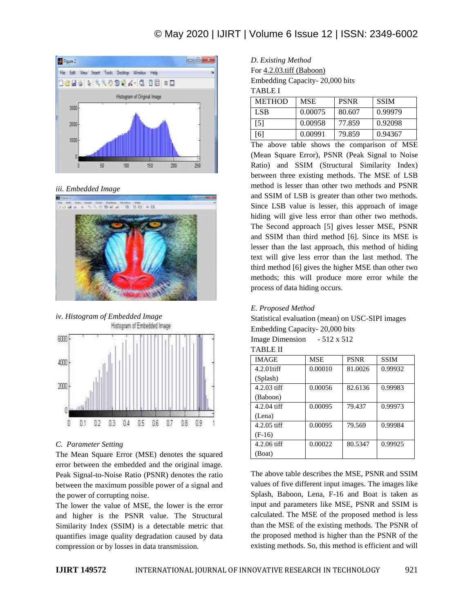# © May 2020 | IJIRT | Volume 6 Issue 12 | ISSN: 2349-6002



# *iii. Embedded Image*



*iv. Histogram of Embedded Image*



#### *C*. *Parameter Setting*

The Mean Square Error (MSE) denotes the squared error between the embedded and the original image. Peak Signal-to-Noise Ratio (PSNR) denotes the ratio between the maximum possible power of a signal and the power of corrupting noise.

The lower the value of MSE, the lower is the error and higher is the PSNR value. The Structural Similarity Index (SSIM) is a detectable metric that quantifies image quality degradation caused by data compression or by losses in data transmission.

| D. Existing Method             |
|--------------------------------|
| For $4.2.03$ tiff (Baboon)     |
| Embedding Capacity-20,000 bits |

TABLE I

| <b>METHOD</b> | <b>MSE</b> | <b>PSNR</b> | <b>SSIM</b> |
|---------------|------------|-------------|-------------|
| <b>LSB</b>    | 0.00075    | 80.607      | 0.99979     |
| [5]           | 0.00958    | 77.859      | 0.92098     |
| <sup>6</sup>  | 0.00991    | 79.859      | 0.94367     |

The above table shows the comparison of MSE (Mean Square Error), PSNR (Peak Signal to Noise Ratio) and SSIM (Structural Similarity Index) between three existing methods. The MSE of LSB method is lesser than other two methods and PSNR and SSIM of LSB is greater than other two methods. Since LSB value is lesser, this approach of image hiding will give less error than other two methods. The Second approach [5] gives lesser MSE, PSNR and SSIM than third method [6]. Since its MSE is lesser than the last approach, this method of hiding text will give less error than the last method. The third method [6] gives the higher MSE than other two methods; this will produce more error while the process of data hiding occurs.

## *E. Proposed Method*

Statistical evaluation (mean) on USC-SIPI images Embedding Capacity- 20,000 bits

| <b>IMAGE</b>  | <b>MSE</b> | <b>PSNR</b> | <b>SSIM</b> |
|---------------|------------|-------------|-------------|
| $4.2.01$ tiff | 0.00010    | 81.0026     | 0.99932     |
| (Splash)      |            |             |             |
| $4.2.03$ tiff | 0.00056    | 82.6136     | 0.99983     |
| (Baboon)      |            |             |             |
| $4.2.04$ tiff | 0.00095    | 79.437      | 0.99973     |
| (Lena)        |            |             |             |
| $4.2.05$ tiff | 0.00095    | 79.569      | 0.99984     |
| $(F-16)$      |            |             |             |
| $4.2.06$ tiff | 0.00022    | 80.5347     | 0.99925     |
| (Boat)        |            |             |             |

The above table describes the MSE, PSNR and SSIM values of five different input images. The images like Splash, Baboon, Lena, F-16 and Boat is taken as input and parameters like MSE, PSNR and SSIM is calculated. The MSE of the proposed method is less than the MSE of the existing methods. The PSNR of the proposed method is higher than the PSNR of the existing methods. So, this method is efficient and will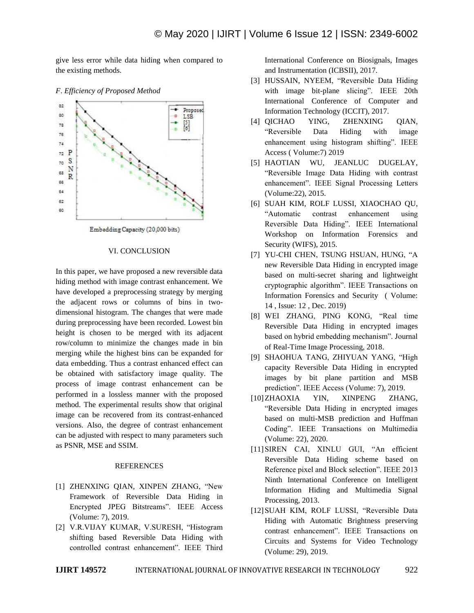give less error while data hiding when compared to the existing methods.



## *F*. *Efficiency of Proposed Method*

## VI. CONCLUSION

In this paper, we have proposed a new reversible data hiding method with image contrast enhancement. We have developed a preprocessing strategy by merging the adjacent rows or columns of bins in twodimensional histogram. The changes that were made during preprocessing have been recorded. Lowest bin height is chosen to be merged with its adjacent row/column to minimize the changes made in bin merging while the highest bins can be expanded for data embedding. Thus a contrast enhanced effect can be obtained with satisfactory image quality. The process of image contrast enhancement can be performed in a lossless manner with the proposed method. The experimental results show that original image can be recovered from its contrast-enhanced versions. Also, the degree of contrast enhancement can be adjusted with respect to many parameters such as PSNR, MSE and SSIM.

### **REFERENCES**

- [1] ZHENXING QIAN, XINPEN ZHANG, "New Framework of Reversible Data Hiding in Encrypted JPEG Bitstreams". IEEE Access (Volume: 7), 2019.
- [2] V.R.VIJAY KUMAR, V.SURESH, "Histogram shifting based Reversible Data Hiding with controlled contrast enhancement". IEEE Third

International Conference on Biosignals, Images and Instrumentation (ICBSII), 2017.

- [3] HUSSAIN, NYEEM, "Reversible Data Hiding with image bit-plane slicing". IEEE 20th International Conference of Computer and Information Technology (ICCIT), 2017.
- [4] QICHAO YING, ZHENXING QIAN, "Reversible Data Hiding with image enhancement using histogram shifting". IEEE Access ( Volume:7) 2019
- [5] HAOTIAN WU, JEANLUC DUGELAY, "Reversible Image Data Hiding with contrast enhancement". IEEE Signal Processing Letters (Volume:22), 2015.
- [6] SUAH KIM, ROLF LUSSI, XIAOCHAO QU, "Automatic contrast enhancement using Reversible Data Hiding". IEEE International Workshop on Information Forensics and Security (WIFS), 2015.
- [7] YU-CHI CHEN, TSUNG HSUAN, HUNG, "A new Reversible Data Hiding in encrypted image based on multi-secret sharing and lightweight cryptographic algorithm". IEEE Transactions on Information Forensics and Security ( Volume: 14 , Issue: 12 , Dec. 2019)
- [8] WEI ZHANG, PING KONG, "Real time Reversible Data Hiding in encrypted images based on hybrid embedding mechanism". Journal of Real-Time Image Processing, 2018.
- [9] SHAOHUA TANG, ZHIYUAN YANG, "High capacity Reversible Data Hiding in encrypted images by bit plane partition and MSB prediction". IEEE Access (Volume: 7), 2019.
- [10]ZHAOXIA YIN, XINPENG ZHANG, "Reversible Data Hiding in encrypted images based on multi-MSB prediction and Huffman Coding". IEEE Transactions on Multimedia (Volume: 22), 2020.
- [11]SIREN CAI, XINLU GUI, "An efficient Reversible Data Hiding scheme based on Reference pixel and Block selection". IEEE 2013 Ninth International Conference on Intelligent Information Hiding and Multimedia Signal Processing, 2013.
- [12]SUAH KIM, ROLF LUSSI, "Reversible Data Hiding with Automatic Brightness preserving contrast enhancement". IEEE Transactions on Circuits and Systems for Video Technology (Volume: 29), 2019.